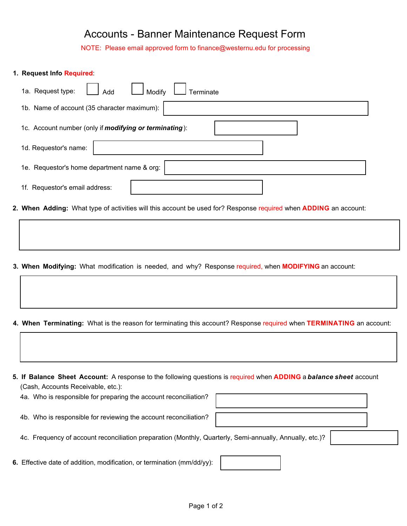## Accounts - Banner Maintenance Request Form

NOTE: Please email approved form to finance@westernu.edu for processing

## **1. Request Info Required**: Add  $\Box$  Modify  $\Box$  Terminate 1a. Request type: 1b. Name of account (35 character maximum): 1c. Account number (only if *modifying or terminating*): 1d. Requestor's name:

1e. Requestor's home department name & org: 1f. Requestor's email address:

**2. When Adding:** What type of activities will this account be used for? Response required when **ADDING** an account:

**3. When Modifying:** What modification is needed, and why? Response required, when **MODIFYING** an account:

**4. When Terminating:** What is the reason for terminating this account? Response required when **TERMINATING** an account:

**5. If Balance Sheet Account:** A response to the following questions is required when **ADDING** a *balance sheet* account (Cash, Accounts Receivable, etc.):

4a. Who is responsible for preparing the account reconciliation?

4b. Who is responsible for reviewing the account reconciliation?

4c. Frequency of account reconciliation preparation (Monthly, Quarterly, Semi-annually, Annually, etc.)?

**6.** Effective date of addition, modification, or termination (mm/dd/yy):